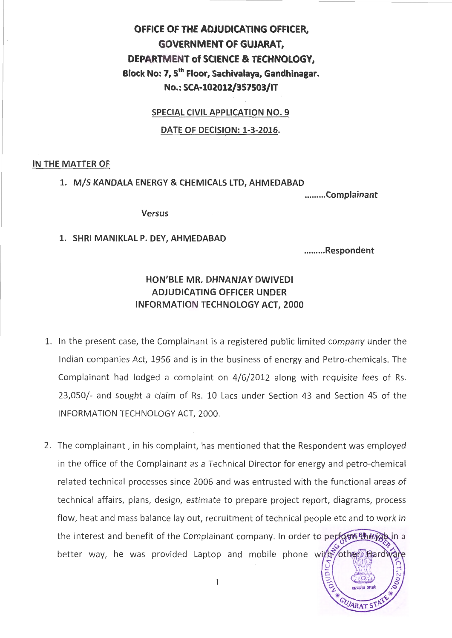# **OFFICE OF THE ADJUDICATING OFFICER, GOVERNMENT OF GUJARAT, DEPARTMENT of SCIENCE & TECHNOLOGY, Block No: 7, 5th Floor, Sachivalaya, Gandhinagar. No.: SCA-102012/357503/IT**

**SPECIAL CIVIL APPLICATION NO.9** 

**DATE OF DECISION: 1-3-2016.** 

## **IN THE MATTER OF**

## **1. M/S KANDALA ENERGY & CHEMICALS LTD, AHMEDABAD**

**......... Complainant** 

**Versus** 

# **1. SHRI M ANIKLAL P. DEY, AHMEDABAD**

**......... Respondent** 

ARAT S

# **HON'BLE MR. DHNANJAY DWIVEDI ADJUDICATING OFFICER UNDER INFORMATION TECHNOLOGY ACT, 2000**

- 1. In the present case, the Complainant is a registered public limited company under the Indian companies Act, 1956 and is in the business of energy and Petro-chemicals. The Complainant had lodged a complaint on 4/6/2012 along with requisite fees of Rs. 23,050/- and sought a claim of Rs. 10 Lacs under Section 43 and Section 45 of the INFORMATION TECHNOLOGY ACT, 2000.
- 2. The complainant, in his complaint, has mentioned that the Respondent was employed in the office of the Complainant as a Technical Director for energy and petro-chemical related technical processes since 2006 and was entrusted with the functional areas of technical affairs, plans, design, estimate to prepare project report, diagrams, process flow, heat and mass balance lay out, recruitment of technical people etc and to work in the interest and benefit of the Complainant company. In order to perform the you in a better way, he was provided Laptop and mobile phone with other Hardw ra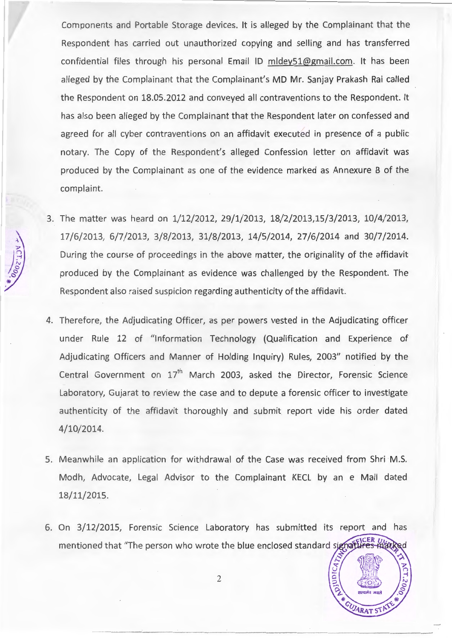Components and Portable Storage devices. It is alleged by the Complainant that the Respondent has carried out unauthorized copying and selling and has transterred confidential files through his personal Email ID mldey51@gmail.com. It has been alleged by the Complainant that the Complainant's MD Mr. Sanjay Prakash Rai called the Respondent on 18.05.2012 and conveyed all contraventions to the Respondent. It has also been alleged by the Complainant that the Respondent later on confessed and agreed for all cyber contraventions on an affidavit executed in presence of a public notary. The Copy of the Respondent's alleged Confession letter on affidavit was produced by the Complainant as one of the evidence marked as Annexure B of the complaint.

- 3. The matter was heard on 1/12/2012, 29/1/2013, 18/2/2013,15/3/2013, 10/4/2013, 17/6/2013, 6/7/2013, 3/8/ 2013, 31/8/2013, 14/5/2014, 27/6/2014 and 30/7/2014. During the course of proceedings in the above matter, the originality of the affidavit produced by the Complainant as evidence was challenged by the Respondent. The Respondent also raised suspicion regarding authenticity of the affidavit.
- 4. Therefore, the Adjudicating Officer, as per powers vested in the Adjudicating officer under Rule 12 of "Information Technology (Qualification and Experience of Adjudicating Officers and Manner of Holding Inquiry) Rules, 2003" notified by the Central Government on  $17<sup>th</sup>$  March 2003, asked the Director, Forensic Science Laboratory, Gujarat to review the case and to depute a forensic officer to investigate authenticity of the affidavit thoroughly and submit report vide his order dated 4/10/2014.
- 5. Meanwhile an application for withdrawal of the Case was received from Shri M.S. Modh, Advocate, Legal Advisor to the Complainant KECL by an e Mail dated 18/11/2015.
- 6. On 3/12/2015, Forensic Science Laboratory has submitted its report and has mentioned that "The person who wrote the blue enclosed standard signatures Harked

**OJUDICATI** 

**ARAT ST**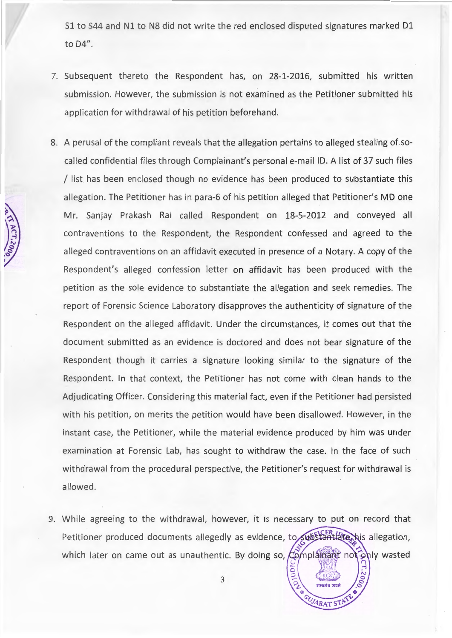S1 to S44 and N1 to N8 did not write the red enclosed disputed signatures marked D1 to D4".

- 7. Subsequent thereto the Respondent has, on 28-1-2016, submitted his written submission. However, the submission is not examined as the Petitioner submitted his application for withdrawal of his petition beforehand.
- 8. A perusal of the compliant reveals that the allegation pertains to alleged stealing of socalled confidential files through Complainant's personal e-mail ID. A list of 37 such files / list has been enclosed though no evidence has been produced to substantiate this allegation. The Petitioner has in para-6 of his petition alleged that Petitioner's MD one Mr. Sanjay Prakash Rai called Respondent on 18-5-2012 and conveyed all contraventions to the Respondent, the Respondent confessed and agreed to the alleged contraventions on an affidavit executed in presence of a Notary. A copy of the Respondent's alleged confession letter on affidavit has been produced with the petition as the sole evidence to substantiate the allegation and seek remedies. The report of Forensic Science Laboratory disapproves the authenticity of signature of the Respondent on the alleged affidavit. Under the circumstances, it comes out that the document submitted as an evidence is doctored and does not bear signature of the Respondent though it carries a signature looking similar to the signature of the Respondent. In that context, the Petitioner has not come with clean hands to the Adjudicating Officer. Considering this material fact, even if the Petitioner had persisted with his petition, on merits the petition would have been disallowed. However, in the instant case, the Petitioner, while the material evidence produced by him was under examination at Forensic Lab, has sought to withdraw the case. In the face of such withdrawal from the procedural perspective, the Petitioner's request for withdrawal is allowed.
- 9. While agreeing to the withdrawal, however, it is necessary to put on record that Petitioner produced documents allegedly as evidence, to substantiate his allegation, which later on came out as unauthentic. By doing so,  $\mathcal{L}$  omplainant not  $\mathcal{L}$  wasted

3

**ARAT STP**